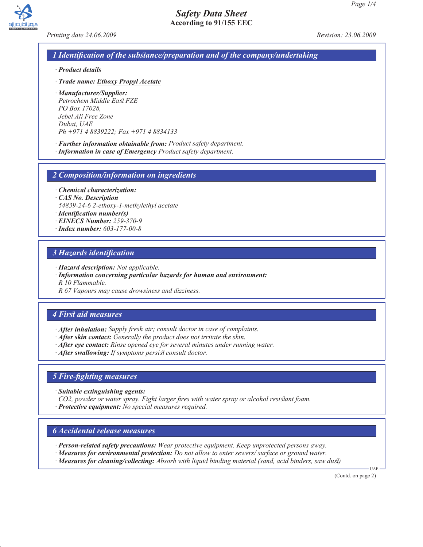

*Printing date 24.06.2009 Revision: 23.06.2009*

# *1 Identification of the substance/preparation and of the company/undertaking*

- *· Product details*
- *· Trade name: Ethoxy Propyl Acetate*
- *· Manufacturer/Supplier: Petrochem Middle East FZE PO Box 17028, Jebel Ali Free Zone Dubai, UAE Ph +971 4 8839222; Fax +971 4 8834133*
- *· Further information obtainable from: Product safety department.*
- *· Information in case of Emergency Product safety department.*

*2 Composition/information on ingredients*

- *· Chemical characterization:*
- *· CAS No. Description*
- *54839-24-6 2-ethoxy-1-methylethyl acetate*
- *· Identification number(s)*
- *· EINECS Number: 259-370-9*
- *· Index number: 603-177-00-8*

## *3 Hazards identification*

- *· Hazard description: Not applicable.*
- *· Information concerning particular hazards for human and environment:*

*R 10 Flammable.*

*R 67 Vapours may cause drowsiness and dizziness.*

## *4 First aid measures*

- *· After inhalation: Supply fresh air; consult doctor in case of complaints.*
- *· After skin contact: Generally the product does not irritate the skin.*
- *· After eye contact: Rinse opened eye for several minutes under running water.*
- *· After swallowing: If symptoms persist consult doctor.*

## *5 Fire-fighting measures*

*· Suitable extinguishing agents:*

- *CO2, powder or water spray. Fight larger fires with water spray or alcohol resistant foam.*
- *· Protective equipment: No special measures required.*

## *6 Accidental release measures*

- *· Person-related safety precautions: Wear protective equipment. Keep unprotected persons away.*
- *· Measures for environmental protection: Do not allow to enter sewers/ surface or ground water.*
- *· Measures for cleaning/collecting: Absorb with liquid binding material (sand, acid binders, saw dust)*

(Contd. on page 2)

UAE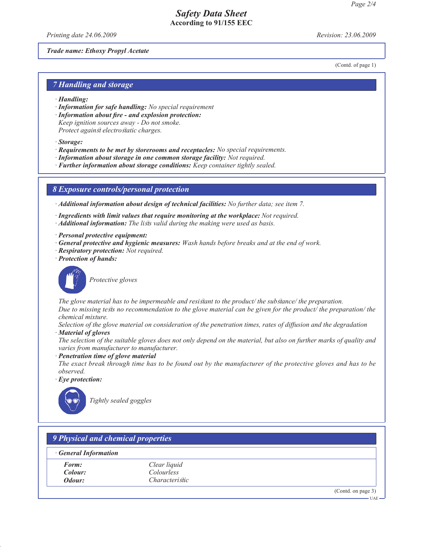*Printing date 24.06.2009 Revision: 23.06.2009*

*Trade name: Ethoxy Propyl Acetate*

(Contd. of page 1)

#### *7 Handling and storage*

- *· Handling:*
- *· Information for safe handling: No special requirement*
- *· Information about fire and explosion protection: Keep ignition sources away - Do not smoke. Protect against electrostatic charges.*
- *· Storage:*
- *· Requirements to be met by storerooms and receptacles: No special requirements.*
- *· Information about storage in one common storage facility: Not required.*
- *· Further information about storage conditions: Keep container tightly sealed.*

#### *8 Exposure controls/personal protection*

*· Additional information about design of technical facilities: No further data; see item 7.*

- *· Ingredients with limit values that require monitoring at the workplace: Not required.*
- *· Additional information: The lists valid during the making were used as basis.*
- *· Personal protective equipment:*
- *· General protective and hygienic measures: Wash hands before breaks and at the end of work.*
- *· Respiratory protection: Not required.*
- *· Protection of hands:*



*Protective gloves*

*The glove material has to be impermeable and resistant to the product/ the substance/ the preparation. Due to missing tests no recommendation to the glove material can be given for the product/ the preparation/ the chemical mixture.*

*Selection of the glove material on consideration of the penetration times, rates of diffusion and the degradation · Material of gloves*

- *The selection of the suitable gloves does not only depend on the material, but also on further marks of quality and varies from manufacturer to manufacturer.*
- *· Penetration time of glove material*
- *The exact break through time has to be found out by the manufacturer of the protective gloves and has to be observed.*
- *· Eye protection:*



*Tightly sealed goggles*

| <b>General Information</b> |                       |  |
|----------------------------|-----------------------|--|
| Form:                      | Clear liquid          |  |
| Colour:                    | Colourless            |  |
| Odour:                     | <i>Characteristic</i> |  |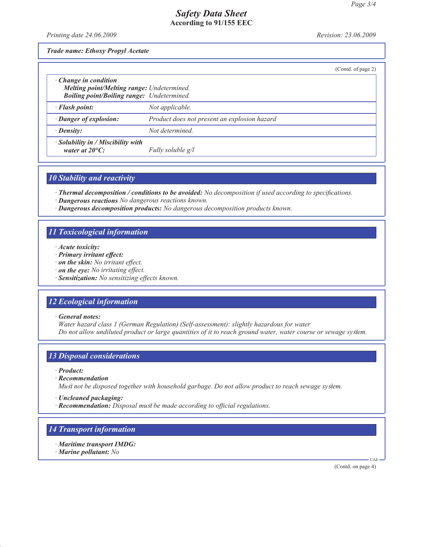*Printing date 24.06.2009 Revision: 23.06.2009*

*Trade name: Ethoxy Propyl Acetate*

|                                                                                                                                | (Contd. of page 2)                           |  |
|--------------------------------------------------------------------------------------------------------------------------------|----------------------------------------------|--|
| $\cdot$ Change in condition<br>Melting point/Melting range: Undetermined.<br><b>Boiling point/Boiling range:</b> Undetermined. |                                              |  |
| · Flash point:                                                                                                                 | Not applicable.                              |  |
| · Danger of explosion:                                                                                                         | Product does not present an explosion hazard |  |
| $\cdot$ Density:                                                                                                               | Not determined.                              |  |
| · Solubility in / Miscibility with<br>water at $20^{\circ}$ C:                                                                 | Fully soluble g/l                            |  |

## *10 Stability and reactivity*

*· Thermal decomposition / conditions to be avoided: No decomposition if used according to specifications.*

- *· Dangerous reactions No dangerous reactions known.*
- *· Dangerous decomposition products: No dangerous decomposition products known.*

## *11 Toxicological information*

- *· Acute toxicity:*
- *· Primary irritant effect:*
- *· on the skin: No irritant effect.*
- *· on the eye: No irritating effect.*
- *· Sensitization: No sensitizing effects known.*

# *12 Ecological information*

*· General notes:*

*Water hazard class 1 (German Regulation) (Self-assessment): slightly hazardous for water Do not allow undiluted product or large quantities of it to reach ground water, water course or sewage system.*

## *13 Disposal considerations*

- *· Product:*
- *· Recommendation*

*Must not be disposed together with household garbage. Do not allow product to reach sewage system.*

- *· Uncleaned packaging:*
- *· Recommendation: Disposal must be made according to official regulations.*

# *14 Transport information*

- *· Maritime transport IMDG:*
- *· Marine pollutant: No*

(Contd. on page 4)

UAE